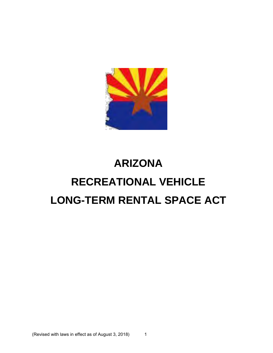

# **ARIZONA RECREATIONAL VEHICLE LONG-TERM RENTAL SPACE ACT**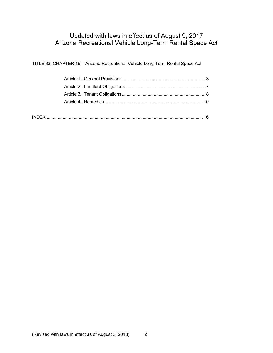# Updated with laws in effect as of August 9, 2017 Arizona Recreational Vehicle Long-Term Rental Space Act

TITLE 33, CHAPTER 19 – Arizona Recreational Vehicle Long-Term Rental Space Act

| <b>INDI</b> |  |
|-------------|--|
|             |  |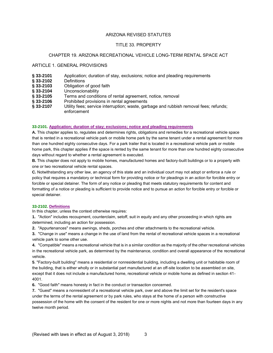# ARIZONA REVISED STATUTES

# TITLE 33. PROPERTY

# CHAPTER 19. ARIZONA RECREATIONAL VEHICLE LONG-TERM RENTAL SPACE ACT

### ARTICLE 1. GENERAL PROVISIONS

- **§ 33-2101** Application; duration of stay, exclusions; notice and pleading requirements
- § 33-2102
- **§ 33-2103** Obligation of good faith
- **§ 33-2104** Unconscionability
- § 33-2105 Terms and conditions of rental agreement, notice, removal § 33-2106 Prohibited provisions in rental agreements
- **§ 33-2106** Prohibited provisions in rental agreements<br>**§ 33-2107** Utility fees; service interruption; waste, gar
- **§ 33-2107** Utility fees; service interruption; waste, garbage and rubbish removal fees; refunds; enforcement

#### **33-2101. Application; duration of stay; exclusions; notice and pleading requirements**

**A.** This chapter applies to, regulates and determines rights, obligations and remedies for a recreational vehicle space that is rented in a recreational vehicle park or mobile home park by the same tenant under a rental agreement for more than one hundred eighty consecutive days. For a park trailer that is located in a recreational vehicle park or mobile home park, this chapter applies if the space is rented by the same tenant for more than one hundred eighty consecutive days without regard to whether a rental agreement is executed.

**B.** This chapter does not apply to mobile homes, manufactured homes and factory-built buildings or to a property with one or two recreational vehicle rental spaces.

**C.** Notwithstanding any other law, an agency of this state and an individual court may not adopt or enforce a rule or policy that requires a mandatory or technical form for providing notice or for pleadings in an action for forcible entry or forcible or special detainer. The form of any notice or pleading that meets statutory requirements for content and formatting of a notice or pleading is sufficient to provide notice and to pursue an action for forcible entry or forcible or special detainer.

#### **33-2102. Definitions**

In this chapter, unless the context otherwise requires:

**1.** "Action" includes recoupment, counterclaim, setoff, suit in equity and any other proceeding in which rights are determined, including an action for possession.

**2.** "Appurtenances" means awnings, sheds, porches and other attachments to the recreational vehicle.

**3.** "Change in use" means a change in the use of land from the rental of recreational vehicle spaces in a recreational vehicle park to some other use.

**4.** "Compatible" means a recreational vehicle that is in a similar condition as the majority of the other recreational vehicles in the recreational vehicle park, as determined by the maintenance, condition and overall appearance of the recreational vehicle.

**5**. "Factory-built building" means a residential or nonresidential building, including a dwelling unit or habitable room of the building, that is either wholly or in substantial part manufactured at an off-site location to be assembled on site, except that it does not include a manufactured home, recreational vehicle or mobile home as defined in section 41- 4001.

**6.** "Good faith" means honesty in fact in the conduct or transaction concerned.

**7.** "Guest" means a nonresident of a recreational vehicle park, over and above the limit set for the resident's space under the terms of the rental agreement or by park rules, who stays at the home of a person with constructive possession of the home with the consent of the resident for one or more nights and not more than fourteen days in any twelve month period.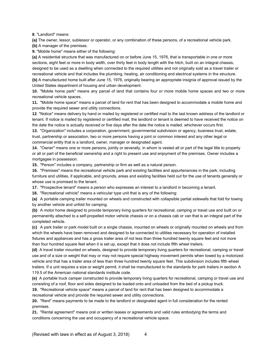**8**. "Landlord" means:

**(a)** The owner, lessor, sublessor or operator, or any combination of these persons, of a recreational vehicle park. **(b)** A manager of the premises.

**9.** "Mobile home" means either of the following:

**(a)** A residential structure that was manufactured on or before June 15, 1976, that is transportable in one or more sections, eight feet or more in body width, over thirty feet in body length with the hitch, built on an integral chassis, designed to be used as a dwelling when connected to the required utilities and not originally sold as a travel trailer or recreational vehicle and that includes the plumbing, heating, air conditioning and electrical systems in the structure. **(b)** A manufactured home built after June 15, 1976, originally bearing an appropriate insignia of approval issued by the United States department of housing and urban development.

**10.** "Mobile home park" means any parcel of land that contains four or more mobile home spaces and two or more recreational vehicle spaces.

**11.** "Mobile home space" means a parcel of land for rent that has been designed to accommodate a mobile home and provide the required sewer and utility connections.

**12**. "Notice" means delivery by hand or mailed by registered or certified mail to the last known address of the landlord or tenant. If notice is mailed by registered or certified mail, the landlord or tenant is deemed to have received the notice on the date the notice is actually received or five days after the date the notice is mailed, whichever occurs first.

**13.** "Organization" includes a corporation, government, governmental subdivision or agency, business trust, estate, trust, partnership or association, two or more persons having a joint or common interest and any other legal or commercial entity that is a landlord, owner, manager or designated agent.

**14.** "Owner" means one or more persons, jointly or severally, in whom is vested all or part of the legal title to property or all or part of the beneficial ownership and a right to present use and enjoyment of the premises. Owner includes a mortgagee in possession.

**15.** "Person" includes a company, partnership or firm as well as a natural person.

**16.** "Premises" means the recreational vehicle park and existing facilities and appurtenances in the park, including furniture and utilities, if applicable, and grounds, areas and existing facilities held out for the use of tenants generally or whose use is promised to the tenant.

**17.** "Prospective tenant" means a person who expresses an interest to a landlord in becoming a tenant.

**18.** "Recreational vehicle" means a vehicular type unit that is any of the following:

**(a)** A portable camping trailer mounted on wheels and constructed with collapsible partial sidewalls that fold for towing by another vehicle and unfold for camping.

**(b)** A motor home designed to provide temporary living quarters for recreational, camping or travel use and built on or permanently attached to a self-propelled motor vehicle chassis or on a chassis cab or van that is an integral part of the completed vehicle.

**(c)** A park trailer or park model built on a single chassis, mounted on wheels or originally mounted on wheels and from which the wheels have been removed and designed to be connected to utilities necessary for operation of installed fixtures and appliances and has a gross trailer area of not less than three hundred twenty square feet and not more than four hundred square feet when it is set up, except that it does not include fifth wheel trailers.

**(d)** A travel trailer mounted on wheels, designed to provide temporary living quarters for recreational, camping or travel use and of a size or weight that may or may not require special highway movement permits when towed by a motorized vehicle and that has a trailer area of less than three hundred twenty square feet. This subdivision includes fifth wheel trailers. If a unit requires a size or weight permit, it shall be manufactured to the standards for park trailers in section A 119.5 of the American national standards institute code.

**(e)** A portable truck camper constructed to provide temporary living quarters for recreational, camping or travel use and consisting of a roof, floor and sides designed to be loaded onto and unloaded from the bed of a pickup truck.

**19.** "Recreational vehicle space" means a parcel of land for rent that has been designed to accommodate a recreational vehicle and provide the required sewer and utility connections.

**20.** "Rent" means payments to be made to the landlord or designated agent in full consideration for the rented premises.

**21.** "Rental agreement" means oral or written leases or agreements and valid rules embodying the terms and conditions concerning the use and occupancy of a recreational vehicle space.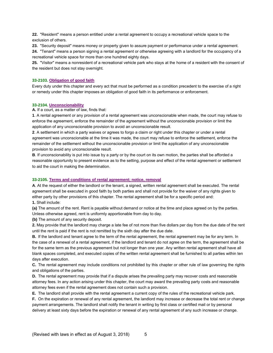**22.** "Resident" means a person entitled under a rental agreement to occupy a recreational vehicle space to the exclusion of others.

**23.** "Security deposit" means money or property given to assure payment or performance under a rental agreement.

**24.** "Tenant" means a person signing a rental agreement or otherwise agreeing with a landlord for the occupancy of a recreational vehicle space for more than one hundred eighty days.

**25.** "Visitor" means a nonresident of a recreational vehicle park who stays at the home of a resident with the consent of the resident but does not stay overnight.

# **33-2103. Obligation of good faith**

Every duty under this chapter and every act that must be performed as a condition precedent to the exercise of a right or remedy under this chapter imposes an obligation of good faith in its performance or enforcement.

#### **33-2104. Unconscionability**

**A.** If a court, as a matter of law, finds that:

**1**. A rental agreement or any provision of a rental agreement was unconscionable when made, the court may refuse to enforce the agreement, enforce the remainder of the agreement without the unconscionable provision or limit the application of any unconscionable provision to avoid an unconscionable result.

**2**. A settlement in which a party waives or agrees to forgo a claim or right under this chapter or under a rental agreement was unconscionable at the time it was made, the court may refuse to enforce the settlement, enforce the remainder of the settlement without the unconscionable provision or limit the application of any unconscionable provision to avoid any unconscionable result.

**B**. If unconscionability is put into issue by a party or by the court on its own motion, the parties shall be afforded a reasonable opportunity to present evidence as to the setting, purpose and effect of the rental agreement or settlement to aid the court in making the determination.

# **33-2105. Terms and conditions of rental agreement; notice, removal**

**A**. At the request of either the landlord or the tenant, a signed, written rental agreement shall be executed. The rental agreement shall be executed in good faith by both parties and shall not provide for the waiver of any rights given to either party by other provisions of this chapter. The rental agreement shall be for a specific period and: **1.** Shall include:

**(a)** The amount of the rent. Rent is payable without demand or notice at the time and place agreed on by the parties. Unless otherwise agreed, rent is uniformly apportionable from day to day.

**(b)** The amount of any security deposit.

**2.** May provide that the landlord may charge a late fee of not more than five dollars per day from the due date of the rent until the rent is paid if the rent is not remitted by the sixth day after the due date.

**B.** If the landlord and tenant agree to the term of the rental agreement, the rental agreement may be for any term. In the case of a renewal of a rental agreement, if the landlord and tenant do not agree on the term, the agreement shall be for the same term as the previous agreement but not longer than one year. Any written rental agreement shall have all blank spaces completed, and executed copies of the written rental agreement shall be furnished to all parties within ten days after execution.

**C.** The rental agreement may include conditions not prohibited by this chapter or other rule of law governing the rights and obligations of the parties.

**D.** The rental agreement may provide that if a dispute arises the prevailing party may recover costs and reasonable attorney fees. In any action arising under this chapter, the court may award the prevailing party costs and reasonable attorney fees even if the rental agreement does not contain such a provision.

**E.** The landlord shall provide with the rental agreement a current copy of the rules of the recreational vehicle park. **F.** On the expiration or renewal of any rental agreement, the landlord may increase or decrease the total rent or change payment arrangements. The landlord shall notify the tenant in writing by first class or certified mail or by personal delivery at least sixty days before the expiration or renewal of any rental agreement of any such increase or change.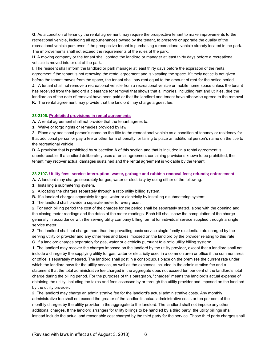**G**. As a condition of tenancy the rental agreement may require the prospective tenant to make improvements to the recreational vehicle, including all appurtenances owned by the tenant, to preserve or upgrade the quality of the recreational vehicle park even if the prospective tenant is purchasing a recreational vehicle already located in the park. The improvements shall not exceed the requirements of the rules of the park.

**H.** A moving company or the tenant shall contact the landlord or manager at least thirty days before a recreational vehicle is moved into or out of the park.

**I.** The resident shall inform the landlord or park manager at least thirty days before the expiration of the rental agreement if the tenant is not renewing the rental agreement and is vacating the space. If timely notice is not given before the tenant moves from the space, the tenant shall pay rent equal to the amount of rent for the notice period. **J.** A tenant shall not remove a recreational vehicle from a recreational vehicle or mobile home space unless the tenant

has received from the landlord a clearance for removal that shows that all monies, including rent and utilities, due the landlord as of the date of removal have been paid or that the landlord and tenant have otherwise agreed to the removal. **K.** The rental agreement may provide that the landlord may charge a guest fee.

### **33-2106. Prohibited provisions in rental agreements**

**A.** A rental agreement shall not provide that the tenant agrees to:

**1.** Waive or forgo rights or remedies provided by law.

**2.** Place any additional person's name on the title to the recreational vehicle as a condition of tenancy or residency for that additional person or pay a fee or other form of penalty for failing to place an additional person's name on the title to the recreational vehicle.

**B.** A provision that is prohibited by subsection A of this section and that is included in a rental agreement is unenforceable. If a landlord deliberately uses a rental agreement containing provisions known to be prohibited, the tenant may recover actual damages sustained and the rental agreement is voidable by the tenant.

# **33-2107. Utility fees; service interruption; waste, garbage and rubbish removal fees; refunds; enforcement**

**A.** A landlord may charge separately for gas, water or electricity by doing either of the following:

**1.** Installing a submetering system.

**2.** Allocating the charges separately through a ratio utility billing system.

**B.** If a landlord charges separately for gas, water or electricity by installing a submetering system:

**1.** The landlord shall provide a separate meter for every user.

**2.** For each billing period the cost of the charges for the period shall be separately stated, along with the opening and the closing meter readings and the dates of the meter readings. Each bill shall show the computation of the charge generally in accordance with the serving utility company billing format for individual service supplied through a single service meter.

**3**. The landlord shall not charge more than the prevailing basic service single family residential rate charged by the serving utility or provider and any other fees and taxes imposed on the landlord by the provider relating to this rate. **C.** If a landlord charges separately for gas, water or electricity pursuant to a ratio utility billing system:

**1**. The landlord may recover the charges imposed on the landlord by the utility provider, except that a landlord shall not include a charge by the supplying utility for gas, water or electricity used in a common area or office if the common area or office is separately metered. The landlord shall post in a conspicuous place on the premises the current rate under which the landlord pays for the utility service, as well as the expenses included in the administrative fee and a statement that the total administrative fee charged in the aggregate does not exceed ten per cent of the landlord's total charge during the billing period. For the purposes of this paragraph, "charges" means the landlord's actual expense of obtaining the utility, including the taxes and fees assessed by or through the utility provider and imposed on the landlord by the utility provider.

**2**. The landlord may charge an administrative fee for the landlord's actual administrative costs. Any monthly administrative fee shall not exceed the greater of the landlord's actual administrative costs or ten per cent of the monthly charges by the utility provider in the aggregate to the landlord. The landlord shall not impose any other additional charges. If the landlord arranges for utility billings to be handled by a third party, the utility billings shall instead include the actual and reasonable cost charged by the third party for the service. Those third party charges shall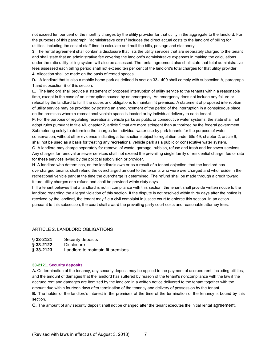not exceed ten per cent of the monthly charges by the utility provider for that utility in the aggregate to the landlord. For the purposes of this paragraph, "administrative costs" includes the direct actual costs to the landlord of billing for utilities, including the cost of staff time to calculate and mail the bills, postage and stationery.

**3**. The rental agreement shall contain a disclosure that lists the utility services that are separately charged to the tenant and shall state that an administrative fee covering the landlord's administrative expenses in making the calculations under the ratio utility billing system will also be assessed. The rental agreement also shall state that total administrative fees assessed each billing period shall not exceed ten per cent of the landlord's total charges for that utility provider. **4**. Allocation shall be made on the basis of rented spaces.

**D.** A landlord that is also a mobile home park as defined in section 33-1409 shall comply with subsection A, paragraph 1 and subsection B of this section.

**E.** The landlord shall provide a statement of proposed interruption of utility service to the tenants within a reasonable time, except in the case of an interruption caused by an emergency. An emergency does not include any failure or refusal by the landlord to fulfill the duties and obligations to maintain fit premises. A statement of proposed interruption of utility service may be provided by posting an announcement of the period of the interruption in a conspicuous place on the premises where a recreational vehicle space is located or by individual delivery to each tenant.

**F**. For the purpose of regulating recreational vehicle parks as public or consecutive water systems, the state shall not adopt rules pursuant to title 49, chapter 2, article 9 that are more stringent than authorized by the federal government. Submetering solely to determine the charges for individual water use by park tenants for the purpose of water conservation, without other evidence indicating a transaction subject to regulation under title 49, chapter 2, article 9, shall not be used as a basis for treating any recreational vehicle park as a public or consecutive water system.

**G**. A landlord may charge separately for removal of waste, garbage, rubbish, refuse and trash and for sewer services. Any charges for removal or sewer services shall not exceed the prevailing single family or residential charge, fee or rate for these services levied by the political subdivision or provider.

**H**. A landlord who determines, on the landlord's own or as a result of a tenant objection, that the landlord has overcharged tenants shall refund the overcharged amount to the tenants who were overcharged and who reside in the recreational vehicle park at the time the overcharge is determined. The refund shall be made through a credit toward future utility charges or a refund and shall be provided within sixty days.

**I**. If a tenant believes that a landlord is not in compliance with this section, the tenant shall provide written notice to the landlord regarding the alleged violation of this section. If the dispute is not resolved within thirty days after the notice is received by the landlord, the tenant may file a civil complaint in justice court to enforce this section. In an action pursuant to this subsection, the court shall award the prevailing party court costs and reasonable attorney fees.

# ARTICLE 2. LANDLORD OBLIGATIONS

| § 33-2121 | Security deposits |
|-----------|-------------------|
|-----------|-------------------|

- **§ 33-2122** Disclosure
- **§ 33-2123** Landlord to maintain fit premises

#### **33-2121. Security deposits**

**A.** On termination of the tenancy, any security deposit may be applied to the payment of accrued rent, including utilities, and the amount of damages that the landlord has suffered by reason of the tenant's noncompliance with the law if the accrued rent and damages are itemized by the landlord in a written notice delivered to the tenant together with the amount due within fourteen days after termination of the tenancy and delivery of possession by the tenant.

**B.** The holder of the landlord's interest in the premises at the time of the termination of the tenancy is bound by this section.

**C.** The amount of any security deposit shall not be changed after the tenant executes the initial rental agreement.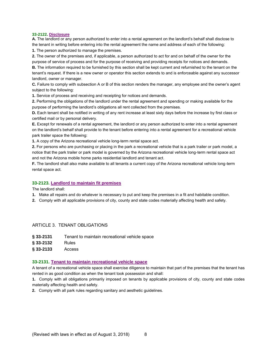#### **33-2122. Disclosure**

**A.** The landlord or any person authorized to enter into a rental agreement on the landlord's behalf shall disclose to the tenant in writing before entering into the rental agreement the name and address of each of the following: **1.** The person authorized to manage the premises.

**2.** The owner of the premises and, if applicable, a person authorized to act for and on behalf of the owner for the purpose of service of process and for the purpose of receiving and providing receipts for notices and demands.

**B.** The information required to be furnished by this section shall be kept current and refurnished to the tenant on the tenant's request. If there is a new owner or operator this section extends to and is enforceable against any successor landlord, owner or manager.

**C.** Failure to comply with subsection A or B of this section renders the manager, any employee and the owner's agent subject to the following:

**1.** Service of process and receiving and receipting for notices and demands.

**2.** Performing the obligations of the landlord under the rental agreement and spending or making available for the purpose of performing the landlord's obligations all rent collected from the premises.

**D.** Each tenant shall be notified in writing of any rent increase at least sixty days before the increase by first class or certified mail or by personal delivery.

**E.** Except for renewals of a rental agreement, the landlord or any person authorized to enter into a rental agreement on the landlord's behalf shall provide to the tenant before entering into a rental agreement for a recreational vehicle park trailer space the following:

**1.** A copy of the Arizona recreational vehicle long-term rental space act.

**2.** For persons who are purchasing or placing in the park a recreational vehicle that is a park trailer or park model, a notice that the park trailer or park model is governed by the Arizona recreational vehicle long-term rental space act and not the Arizona mobile home parks residential landlord and tenant act.

**F.** The landlord shall also make available to all tenants a current copy of the Arizona recreational vehicle long-term rental space act.

### **33-2123. Landlord to maintain fit premises**

The landlord shall:

- **1.** Make all repairs and do whatever is necessary to put and keep the premises in a fit and habitable condition.
- **2.** Comply with all applicable provisions of city, county and state codes materially affecting health and safety.

# ARTICLE 3. TENANT OBLIGATIONS

- **§ 33-2131** Tenant to maintain recreational vehicle space
- **§ 33-2132** Rules
- **§ 33-2133** Access

# **33-2131. Tenant to maintain recreational vehicle space**

A tenant of a recreational vehicle space shall exercise diligence to maintain that part of the premises that the tenant has rented in as good condition as when the tenant took possession and shall:

**1.** Comply with all obligations primarily imposed on tenants by applicable provisions of city, county and state codes materially affecting health and safety.

**2.** Comply with all park rules regarding sanitary and aesthetic guidelines.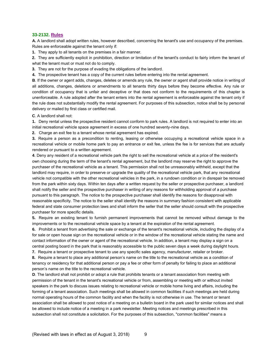### **33-2132. Rules**

**A.** A landlord shall adopt written rules, however described, concerning the tenant's use and occupancy of the premises. Rules are enforceable against the tenant only if:

**1.** They apply to all tenants on the premises in a fair manner.

**2.** They are sufficiently explicit in prohibition, direction or limitation of the tenant's conduct to fairly inform the tenant of what the tenant must or must not do to comply.

**3.** They are not for the purpose of evading the obligations of the landlord.

**4.** The prospective tenant has a copy of the current rules before entering into the rental agreement.

**B**. If the owner or agent adds, changes, deletes or amends any rule, the owner or agent shall provide notice in writing of all additions, changes, deletions or amendments to all tenants thirty days before they become effective. Any rule or condition of occupancy that is unfair and deceptive or that does not conform to the requirements of this chapter is unenforceable. A rule adopted after the tenant enters into the rental agreement is enforceable against the tenant only if the rule does not substantially modify the rental agreement. For purposes of this subsection, notice shall be by personal delivery or mailed by first class or certified mail.

**C**. A landlord shall not:

**1.** Deny rental unless the prospective resident cannot conform to park rules. A landlord is not required to enter into an initial recreational vehicle space agreement in excess of one hundred seventy-nine days.

**2.** Charge an exit fee to a tenant whose rental agreement has expired.

**3.** Require a person as a precondition to renting, leasing or otherwise occupying a recreational vehicle space in a recreational vehicle or mobile home park to pay an entrance or exit fee, unless the fee is for services that are actually rendered or pursuant to a written agreement.

**4**. Deny any resident of a recreational vehicle park the right to sell the recreational vehicle at a price of the resident's own choosing during the term of the tenant's rental agreement, but the landlord may reserve the right to approve the purchaser of the recreational vehicle as a tenant. This permission shall not be unreasonably withheld, except that the landlord may require, in order to preserve or upgrade the quality of the recreational vehicle park, that any recreational vehicle not compatible with the other recreational vehicles in the park, in a rundown condition or in disrepair be removed from the park within sixty days. Within ten days after a written request by the seller or prospective purchaser, a landlord shall notify the seller and the prospective purchaser in writing of any reasons for withholding approval of a purchase pursuant to this paragraph. The notice to the prospective purchaser shall identify the reasons for disapproval with reasonable specificity. The notice to the seller shall identify the reasons in summary fashion consistent with applicable federal and state consumer protection laws and shall inform the seller that the seller should consult with the prospective purchaser for more specific details.

**5.** Require an existing tenant to furnish permanent improvements that cannot be removed without damage to the improvements or to the recreational vehicle space by a tenant at the expiration of the rental agreement.

**6.** Prohibit a tenant from advertising the sale or exchange of the tenant's recreational vehicle, including the display of a for sale or open house sign on the recreational vehicle or in the window of the recreational vehicle stating the name and contact information of the owner or agent of the recreational vehicle. In addition, a tenant may display a sign on a central posting board in the park that is reasonably accessible to the public seven days a week during daylight hours.

**7.** Require a tenant or prospective tenant to use any specific sales agency, manufacturer, retailer or broker.

**8.** Require a tenant to place any additional person's name on the title to the recreational vehicle as a condition of tenancy or residency for that additional person or pay a fee or other form of penalty for failing to place an additional person's name on the title to the recreational vehicle.

**D**. The landlord shall not prohibit or adopt a rule that prohibits tenants or a tenant association from meeting with permission of the tenant in the tenant's recreational vehicle or from, assembling or meeting with or without invited speakers in the park to discuss issues relating to recreational vehicle or mobile home living and affairs, including the forming of a tenant association. Such meetings shall be allowed in common facilities if such meetings are held during normal operating hours of the common facility and when the facility is not otherwise in use. The tenant or tenant association shall be allowed to post notice of a meeting on a bulletin board in the park used for similar notices and shall be allowed to include notice of a meeting in a park newsletter. Meeting notices and meetings prescribed in this subsection shall not constitute a solicitation. For the purposes of this subsection, "common facilities" means a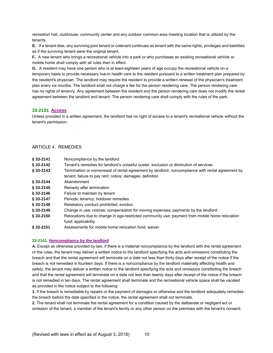recreation hall, clubhouse, community center and any outdoor common area meeting location that is utilized by the tenants.

**E.** If a tenant dies, any surviving joint tenant or cotenant continues as tenant with the same rights, privileges and liabilities as if the surviving tenant were the original tenant.

**F.** A new tenant who brings a recreational vehicle into a park or who purchases an existing recreational vehicle or mobile home shall comply with all rules then in effect.

**G.** A resident may have one person who is at least eighteen years of age occupy the recreational vehicle on a temporary basis to provide necessary live-in health care to the resident pursuant to a written treatment plan prepared by the resident's physician. The landlord may require the resident to provide a written renewal of the physician's treatment plan every six months. The landlord shall not charge a fee for the person rendering care. The person rendering care has no rights of tenancy. Any agreement between the resident and the person rendering care does not modify the rental agreement between the landlord and tenant. The person rendering care shall comply with the rules of the park.

# **33-2133. Access**

Unless provided in a written agreement, the landlord has no right of access to a tenant's recreational vehicle without the tenant's permission.

# ARTICLE 4. REMEDIES

| § 33-2141  | Noncompliance by the landlord                                                                     |
|------------|---------------------------------------------------------------------------------------------------|
| § 33-2142  | Tenant's remedies for landlord's unlawful ouster, exclusion or diminution of services             |
| \$33-2143  | Termination or nonrenewal of rental agreement by landlord; noncompliance with rental agreement by |
|            | tenant; failure to pay rent; notice; damages; definition                                          |
| \$33-2144  | Abandonment                                                                                       |
| \$33-2145  | Remedy after termination                                                                          |
| § 33-2146  | Failure to maintain by tenant                                                                     |
| \$33-2147  | Periodic tenancy; holdover remedies                                                               |
| \$33-2148  | Retaliatory conduct prohibited; eviction                                                          |
| \$33-2149  | Change in use; notices; compensation for moving expenses; payments by the landlord                |
| \$33-2150  | Relocations due to change in age-restricted community use; payment from mobile home relocation    |
|            | fund; applicability                                                                               |
| 8.88.84.54 | A concerned to form and the board and continue from the continuum                                 |

**§ 33-2151** Assessments for mobile home relocation fund; waiver

### **33-2141. Noncompliance by the landlord**

**A.** Except as otherwise provided by law, if there is a material noncompliance by the landlord with the rental agreement or the rules, the tenant may deliver a written notice to the landlord specifying the acts and omissions constituting the breach and that the rental agreement will terminate on a date not less than thirty days after receipt of the notice if the breach is not remedied in fourteen days. If there is a noncompliance by the landlord materially affecting health and safety, the tenant may deliver a written notice to the landlord specifying the acts and omissions constituting the breach and that the rental agreement will terminate on a date not less than twenty days after receipt of the notice if the breach is not remedied in ten days. The rental agreement shall terminate and the recreational vehicle space shall be vacated as provided in the notice subject to the following:

**1**. If the breach is remediable by repairs or the payment of damages or otherwise and the landlord adequately remedies the breach before the date specified in the notice, the rental agreement shall not terminate.

**2**. The tenant shall not terminate the rental agreement for a condition caused by the deliberate or negligent act or omission of the tenant, a member of the tenant's family or any other person on the premises with the tenant's consent.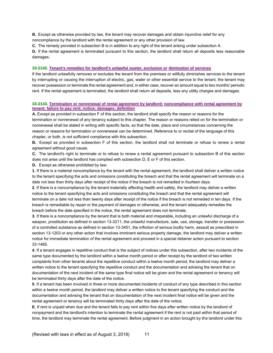**B.** Except as otherwise provided by law, the tenant may recover damages and obtain injunctive relief for any noncompliance by the landlord with the rental agreement or any other provision of law.

**C.** The remedy provided in subsection B is in addition to any right of the tenant arising under subsection A.

**D.** If the rental agreement is terminated pursuant to this section, the landlord shall return all deposits less reasonable damages.

#### **33-2142. Tenant's remedies for landlord's unlawful ouster, exclusion or diminution of services**

If the landlord unlawfully removes or excludes the tenant from the premises or willfully diminishes services to the tenant by interrupting or causing the interruption of electric, gas, water or other essential service to the tenant, the tenant may recover possession or terminate the rental agreement and, in either case, recover an amount equal to two months' periodic rent. If the rental agreement is terminated, the landlord shall return all deposits, less any utility charges and damages.

# **33-2143. Termination or nonrenewal of rental agreement by landlord; noncompliance with rental agreement by tenant; failure to pay rent; notice; damages; definition**

**A.** Except as provided in subsection F of this section, the landlord shall specify the reason or reasons for the termination or nonrenewal of any tenancy subject to this chapter. The reason or reasons relied on for the termination or nonrenewal shall be stated in writing with specific facts, so that the date, place and circumstances concerning the reason or reasons for termination or nonrenewal can be determined. Reference to or recital of the language of this chapter, or both, is not sufficient compliance with this subsection.

**B.** Except as provided in subsection F of this section, the landlord shall not terminate or refuse to renew a rental agreement without good cause.

**C.** The landlord's right to terminate or to refuse to renew a rental agreement pursuant to subsection B of this section does not arise until the landlord has complied with subsection D, E or F of this section.

**D.** Except as otherwise prohibited by law:

**1**. If there is a material noncompliance by the tenant with the rental agreement, the landlord shall deliver a written notice to the tenant specifying the acts and omissions constituting the breach and that the rental agreement will terminate on a date not less than thirty days after receipt of the notice if the breach is not remedied in fourteen days.

**2**. If there is a noncompliance by the tenant materially affecting health and safety, the landlord may deliver a written notice to the tenant specifying the acts and omissions constituting the breach and that the rental agreement will terminate on a date not less than twenty days after receipt of the notice if the breach is not remedied in ten days. If the breach is remediable by repair or the payment of damages or otherwise, and the tenant adequately remedies the breach before the date specified in the notice, the rental agreement does not terminate.

**3**. If there is a noncompliance by the tenant that is both material and irreparable, including an unlawful discharge of a weapon, prostitution as defined in section 13-3211, the unlawful manufacture, sale, use, storage, transfer or possession of a controlled substance as defined in section 13-3451, the infliction of serious bodily harm, assault as prescribed in section 13-1203 or any other action that involves imminent serious property damage, the landlord may deliver a written notice for immediate termination of the rental agreement and proceed in a special detainer action pursuant to section 33-1485.

**4**. If a tenant engages in repetitive conduct that is the subject of notices under this subsection, after two incidents of the same type documented by the landlord within a twelve month period or after receipt by the landlord of two written complaints from other tenants about the repetitive conduct within a twelve month period, the landlord may deliver a written notice to the tenant specifying the repetitive conduct and the documentation and advising the tenant that on documentation of the next incident of the same type final notice will be given and the rental agreement or tenancy will be terminated thirty days after the date of the notice.

**5**. If a tenant has been involved in three or more documented incidents of conduct of any type described in this section within a twelve month period, the landlord may deliver a written notice to the tenant specifying the conduct and the documentation and advising the tenant that on documentation of the next incident final notice will be given and the rental agreement or tenancy will be terminated thirty days after the date of the notice.

**E**. If rent is unpaid when due and the tenant fails to pay rent within five days after written notice by the landlord of nonpayment and the landlord's intention to terminate the rental agreement if the rent is not paid within that period of time, the landlord may terminate the rental agreement. Before judgment in an action brought by the landlord under this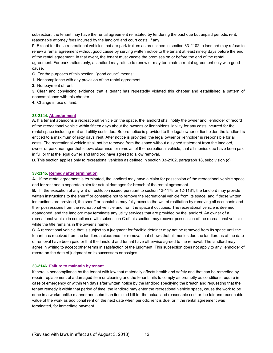subsection, the tenant may have the rental agreement reinstated by tendering the past due but unpaid periodic rent, reasonable attorney fees incurred by the landlord and court costs, if any.

**F**. Except for those recreational vehicles that are park trailers as prescribed in section 33-2102, a landlord may refuse to renew a rental agreement without good cause by serving written notice to the tenant at least ninety days before the end of the rental agreement. In that event, the tenant must vacate the premises on or before the end of the rental agreement. For park trailers only, a landlord may refuse to renew or may terminate a rental agreement only with good cause.

**G**. For the purposes of this section, "good cause" means:

**1.** Noncompliance with any provision of the rental agreement.

**2.** Nonpayment of rent.

**3.** Clear and convincing evidence that a tenant has repeatedly violated this chapter and established a pattern of noncompliance with this chapter.

**4.** Change in use of land.

#### **33-2144. Abandonment**

**A**. If a tenant abandons a recreational vehicle on the space, the landlord shall notify the owner and lienholder of record of the recreational vehicle within fifteen days about the owner's or lienholder's liability for any costs incurred for the rental space including rent and utility costs due. Before notice is provided to the legal owner or lienholder, the landlord is entitled to a maximum of sixty days' rent. After notice is provided, the legal owner or lienholder is responsible for all costs. The recreational vehicle shall not be removed from the space without a signed statement from the landlord, owner or park manager that shows clearance for removal of the recreational vehicle, that all monies due have been paid in full or that the legal owner and landlord have agreed to allow removal.

**B**. This section applies only to recreational vehicles as defined in section 33-2102, paragraph 18, subdivision (c).

#### **33-2145. Remedy after termination**

**A.** If the rental agreement is terminated, the landlord may have a claim for possession of the recreational vehicle space and for rent and a separate claim for actual damages for breach of the rental agreement.

**B.** In the execution of any writ of restitution issued pursuant to section 12-1178 or 12-1181, the landlord may provide written instructions to the sheriff or constable not to remove the recreational vehicle from its space, and if those written instructions are provided, the sheriff or constable may fully execute the writ of restitution by removing all occupants and their possessions from the recreational vehicle and from the space it occupies. The recreational vehicle is deemed abandoned, and the landlord may terminate any utility services that are provided by the landlord. An owner of a recreational vehicle in compliance with subsection C of this section may recover possession of the recreational vehicle while the title remains in the owner's name.

**C**. A recreational vehicle that is subject to a judgment for forcible detainer may not be removed from its space until the tenant has received from the landlord a clearance for removal that shows that all monies due the landlord as of the date of removal have been paid or that the landlord and tenant have otherwise agreed to the removal. The landlord may agree in writing to accept other terms in satisfaction of the judgment. This subsection does not apply to any lienholder of record on the date of judgment or its successors or assigns.

#### **33-2146. Failure to maintain by tenant**

If there is noncompliance by the tenant with law that materially affects health and safety and that can be remedied by repair, replacement of a damaged item or cleaning and the tenant fails to comply as promptly as conditions require in case of emergency or within ten days after written notice by the landlord specifying the breach and requesting that the tenant remedy it within that period of time, the landlord may enter the recreational vehicle space, cause the work to be done in a workmanlike manner and submit an itemized bill for the actual and reasonable cost or the fair and reasonable value of the work as additional rent on the next date when periodic rent is due, or if the rental agreement was terminated, for immediate payment.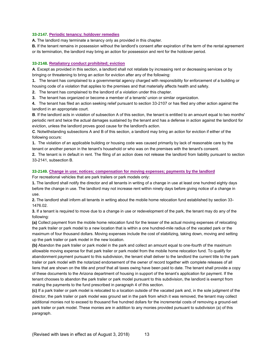# **33-2147. Periodic tenancy; holdover remedies**

**A.** The landlord may terminate a tenancy only as provided in this chapter.

**B.** If the tenant remains in possession without the landlord's consent after expiration of the term of the rental agreement or its termination, the landlord may bring an action for possession and rent for the holdover period.

# **33-2148. Retaliatory conduct prohibited; eviction**

**A**. Except as provided in this section, a landlord shall not retaliate by increasing rent or decreasing services or by bringing or threatening to bring an action for eviction after any of the following:

**1.** The tenant has complained to a governmental agency charged with responsibility for enforcement of a building or

housing code of a violation that applies to the premises and that materially affects health and safety.

**2.** The tenant has complained to the landlord of a violation under this chapter.

**3.** The tenant has organized or become a member of a tenants' union or similar organization.

**4.** The tenant has filed an action seeking relief pursuant to section 33-2107 or has filed any other action against the landlord in an appropriate court.

**B**. If the landlord acts in violation of subsection A of this section, the tenant is entitled to an amount equal to two months' periodic rent and twice the actual damages sustained by the tenant and has a defense in action against the landlord for eviction, unless the landlord proves good cause for the landlord's action.

**C**. Notwithstanding subsections A and B of this section, a landlord may bring an action for eviction if either of the following occurs:

**1.** The violation of an applicable building or housing code was caused primarily by lack of reasonable care by the tenant or another person in the tenant's household or who was on the premises with the tenant's consent.

**2.** The tenant is in default in rent. The filing of an action does not release the landlord from liability pursuant to section 33-2141, subsection B.

### **33-2149. Change in use; notices; compensation for moving expenses; payments by the landlord**

For recreational vehicles that are park trailers or park models only:

**1.** The landlord shall notify the director and all tenants in writing of a change in use at least one hundred eighty days before the change in use. The landlord may not increase rent within ninety days before giving notice of a change in use.

**2.** The landlord shall inform all tenants in writing about the mobile home relocation fund established by section 33- 1476.02.

**3.** If a tenant is required to move due to a change in use or redevelopment of the park, the tenant may do any of the following:

**(a)** Collect payment from the mobile home relocation fund for the lesser of the actual moving expenses of relocating the park trailer or park model to a new location that is within a one hundred-mile radius of the vacated park or the maximum of four thousand dollars. Moving expenses include the cost of stabilizing, taking down, moving and setting up the park trailer or park model in the new location.

**(b)** Abandon the park trailer or park model in the park and collect an amount equal to one-fourth of the maximum allowable moving expense for that park trailer or park model from the mobile home relocation fund. To qualify for abandonment payment pursuant to this subdivision, the tenant shall deliver to the landlord the current title to the park trailer or park model with the notarized endorsement of the owner of record together with complete releases of all liens that are shown on the title and proof that all taxes owing have been paid to date. The tenant shall provide a copy of these documents to the Arizona department of housing in support of the tenant's application for payment. If the tenant chooses to abandon the park trailer or park model pursuant to this subdivision, the landlord is exempt from making the payments to the fund prescribed in paragraph 4 of this section.

**(c)** If a park trailer or park model is relocated to a location outside of the vacated park and, in the sole judgment of the director, the park trailer or park model was ground set in the park from which it was removed, the tenant may collect additional monies not to exceed to thousand five hundred dollars for the incremental costs of removing a ground-set park trailer or park model. These monies are in addition to any monies provided pursuant to subdivision (a) of this paragraph.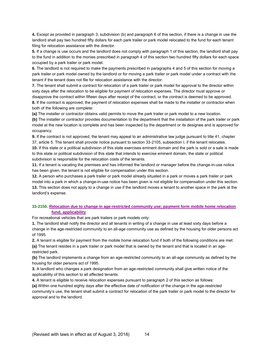**4.** Except as provided in paragraph 3, subdivision (b) and paragraph 6 of this section, if there is a change in use the landlord shall pay two hundred fifty dollars for each park trailer or park model relocated to the fund for each tenant filing for relocation assistance with the director.

**5.** If a change is use occurs and the landlord does not comply with paragraph 1 of this section, the landlord shall pay to the fund in addition to the monies prescribed in paragraph 4 of this section two hundred fifty dollars for each space occupied by a park trailer or park model.

**6.** The landlord is not required to make the payments prescribed in paragraphs 4 and 5 of this section for moving a park trailer or park model owned by the landlord or for moving a park trailer or park model under a contract with the tenant if the tenant does not file for relocation assistance with the director.

**7.** The tenant shall submit a contract for relocation of a park trailer or park model for approval to the director within sixty days after the relocation to be eligible for payment of relocation expenses. The director must approve or disapprove the contract within fifteen days after receipt of the contract, or the contract is deemed to be approved. **8.** If the contract is approved, the payment of relocation expenses shall be made to the installer or contractor when both of the following are complete:

**(a)** The installer or contractor obtains valid permits to move the park trailer or park model to a new location.

**(b)** The installer or contractor provides documentation to the department that the installation of the park trailer or park model at the new location is complete and has been inspected by the department or its designee and is approved for occupancy.

**9.** If the contract is not approved, the tenant may appeal to an administrative law judge pursuant to title 41, chapter 37, article 5. The tenant shall provide notice pursuant to section 33-2105, subsection I, if the tenant relocates. **10.** If this state or a political subdivision of this state exercises eminent domain and the park is sold or a sale is made to this state or political subdivision of this state that intends to exercise eminent domain, the state or political subdivision is responsible for the relocation costs of the tenants.

**11.** If a tenant is vacating the premises and has informed the landlord or manager before the change-in-use notice has been given, the tenant is not eligible for compensation under this section.

**12.** A person who purchases a park trailer or park model already situated in a park or moves a park trailer or park model into a park in which a change-in-use notice has been given is not eligible for compensation under this section. **13.** This section does not apply to a change in use if the landlord moves a tenant to another space in the park at the landlord's expense.

# **33-2150. Relocation due to change in age-restricted community use; payment form mobile home relocation fund; applicability**

For recreational vehicles that are park trailers or park models only:

**1.** The landlord shall notify the director and all tenants in writing of a change in use at least sixty days before a change in the age-restricted community to an all-age community use as defined by the housing for older persons act of 1995.

**2.** A tenant is eligible for payment from the mobile home relocation fund if both of the following conditions are met: **(a)** The tenant resides in a park trailer or park model that is owned by the tenant and that is located in an agerestricted park.

**(b)** The landlord implements a change from an age-restricted community to an all-age community as defined by the housing for older persons act of 1995.

**3.** A landlord who changes a park designation from an age-restricted community shall give written notice of the applicability of this section to all affected tenants.

**4.** A tenant is eligible to receive relocation expenses pursuant to paragraph 2 of this section as follows: **(a)** Within one hundred eighty days after the effective date of notification of the change in the age-restricted community's use, the tenant shall submit a contract for relocation of the park trailer or park model to the director for approval and to the landlord.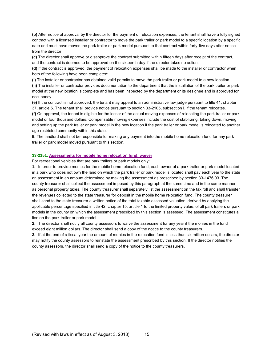**(b)** After notice of approval by the director for the payment of relocation expenses, the tenant shall have a fully signed contract with a licensed installer or contractor to move the park trailer or park model to a specific location by a specific date and must have moved the park trailer or park model pursuant to that contract within forty-five days after notice from the director.

**(c)** The director shall approve or disapprove the contract submitted within fifteen days after receipt of the contract, and the contract is deemed to be approved on the sixteenth day if the director takes no action.

**(d)** If the contract is approved, the payment of relocation expenses shall be made to the installer or contractor when both of the following have been completed:

**(i)** The installer or contractor has obtained valid permits to move the park trailer or park model to a new location. **(ii)** The installer or contractor provides documentation to the department that the installation of the park trailer or park model at the new location is complete and has been inspected by the department or its designee and is approved for occupancy.

**(e)** If the contract is not approved, the tenant may appeal to an administrative law judge pursuant to title 41, chapter 37, article 5. The tenant shall provide notice pursuant to section 33-2105, subsection I, if the tenant relocates.

**(f)** On approval, the tenant is eligible for the lesser of the actual moving expenses of relocating the park trailer or park model or four thousand dollars. Compensable moving expenses include the cost of stabilizing, taking down, moving and setting up the park trailer or park model in the new location if the park trailer or park model is relocated to another age-restricted community within this state.

**5.** The landlord shall not be responsible for making any payment into the mobile home relocation fund for any park trailer or park model moved pursuant to this section.

#### **33-2151. Assessments for mobile home relocation fund; waiver**

For recreational vehicles that are park trailers or park models only:

**1.** In order to provide monies for the mobile home relocation fund, each owner of a park trailer or park model located in a park who does not own the land on which the park trailer or park model is located shall pay each year to the state an assessment in an amount determined by making the assessment as prescribed by section 33-1476.03. The county treasurer shall collect the assessment imposed by this paragraph at the same time and in the same manner as personal property taxes. The county treasurer shall separately list the assessment on the tax roll and shall transfer the revenues collected to the state treasurer for deposit in the mobile home relocation fund. The county treasurer shall send to the state treasurer a written notice of the total taxable assessed valuation, derived by applying the applicable percentage specified in title 42, chapter 15, article 1 to the limited property value, of all park trailers or park models in the county on which the assessment prescribed by this section is assessed. The assessment constitutes a lien on the park trailer or park model.

**2.** The director shall notify all county assessors to waive the assessment for any year if the monies in the fund exceed eight million dollars. The director shall send a copy of the notice to the county treasurers.

**3.** If at the end of a fiscal year the amount of monies in the relocation fund is less than six million dollars, the director may notify the county assessors to reinstate the assessment prescribed by this section. If the director notifies the county assessors, the director shall send a copy of the notice to the county treasurers.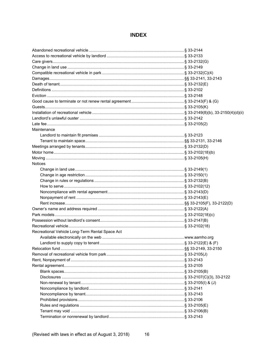# **INDEX**

| Maintenance                                     |  |
|-------------------------------------------------|--|
|                                                 |  |
|                                                 |  |
|                                                 |  |
|                                                 |  |
|                                                 |  |
| <b>Notices</b>                                  |  |
|                                                 |  |
|                                                 |  |
|                                                 |  |
|                                                 |  |
|                                                 |  |
|                                                 |  |
|                                                 |  |
|                                                 |  |
|                                                 |  |
|                                                 |  |
|                                                 |  |
| Recreational Vehicle Long-Term Rental Space Act |  |
|                                                 |  |
|                                                 |  |
|                                                 |  |
|                                                 |  |
|                                                 |  |
|                                                 |  |
|                                                 |  |
|                                                 |  |
|                                                 |  |
|                                                 |  |
|                                                 |  |
|                                                 |  |
|                                                 |  |
|                                                 |  |
|                                                 |  |